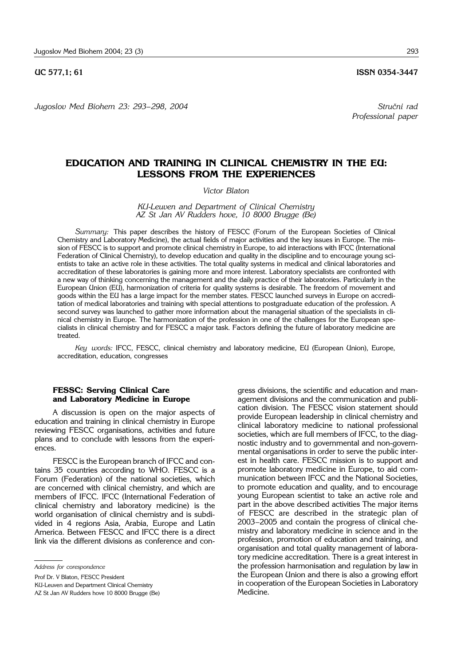*Jugoslov Med Biohem 23: 293– 298, 2004 Stru~ni rad*

**UC 577.1: 61 ISSN 0354-3447** 

*Professional paper*

# **EDUCATION AND TRAINING IN CLINICAL CHEMISTRY IN THE EU: LESSONS FROM THE EXPERIENCES**

#### *Victor Blaton*

*KU*-*Leuven and Department of Clinical Chemistry AZ St Jan AV Rudders hove, 10 8000 Brugge (Be)*

*Summary:* This paper describes the history of FESCC (Forum of the European Societies of Clinical Chemistry and Laboratory Medicine), the actual fields of major activities and the key issues in Europe. The mission of FESCC is to support and promote clinical chemistry in Europe, to aid interactions with IFCC (International Federation of Clinical Chemistry), to develop education and quality in the discipline and to encourage young scientists to take an active role in these activities. The total quality systems in medical and clinical laboratories and accreditation of these laboratories is gaining more and more interest. Laboratory specialists are confronted with a new way of thinking concerning the management and the daily practice of their laboratories. Particularly in the European Union (EU), harmonization of criteria for quality systems is desirable. The freedom of movement and goods within the EU has a large impact for the member states. FESCC launched surveys in Europe on accreditation of medical laboratories and training with special attentions to postgraduate education of the profession. A second survey was launched to gather more information about the managerial situation of the specialists in clinical chemistry in Europe. The harmonization of the profession in one of the challenges for the European specialists in clinical chemistry and for FESCC a major task. Factors defining the future of laboratory medicine are treated.

*Key words:* IFCC, FESCC, clinical chemistry and laboratory medicine, EU (European Union), Europe, accreditation, education, congresses

# **FESSC: Serving Clinical Care and Laboratory Medicine in Europe**

A discussion is open on the major aspects of education and training in clinical chemistry in Europe reviewing FESCC organisations, activities and future plans and to conclude with lessons from the experiences.

FESCC is the European branch of IFCC and contains 35 countries according to WHO. FESCC is a Forum (Federation) of the national societies, which are concerned with clinical chemistry, and which are members of IFCC. IFCC (International Federation of clinical chemistry and laboratory medicine) is the world organisation of clinical chemistry and is subdivided in 4 regions Asia, Arabia, Europe and Latin America. Between FESCC and IFCC there is a direct link via the different divisions as conference and congress divisions, the scientific and education and management divisions and the communication and publication division. The FESCC vision statement should provide European leadership in clinical chemistry and clinical laboratory medicine to national professional societies, which are full members of IFCC, to the diagnostic industry and to governmental and non-governmental organisations in order to serve the public interest in health care. FESCC mission is to support and promote laboratory medicine in Europe, to aid communication between IFCC and the National Societies, to promote education and quality, and to encourage young European scientist to take an active role and part in the above described activities The major items of FESCC are described in the strategic plan of 2003-2005 and contain the progress of clinical chemistry and laboratory medicine in science and in the profession, promotion of education and training, and organisation and total quality management of laboratory medicine accreditation. There is a great interest in the profession harmonisation and regulation by law in the European Union and there is also a growing effort in cooperation of the European Societies in Laboratory Medicine.

*Address for corespondence*

Prof Dr. V Blaton, FESCC President

KU-Leuven and Department Clinical Chemistry

AZ St Jan AV Rudders hove 10 8000 Brugge (Be)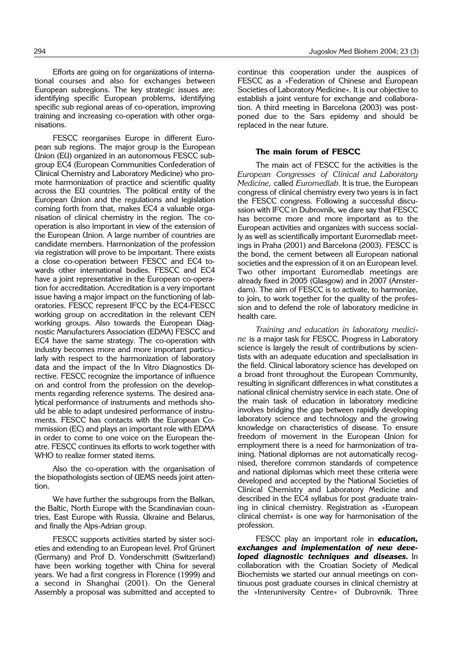Efforts are going on for organizations of international courses and also for exchanges between European subregions. The key strategic issues are: identifying specific European problems, identifying specific sub regional areas of co-operation, improving training and increasing co-operation with other organisations.

FESCC reorganises Europe in different European sub regions. The major group is the European Union (EU) organized in an autonomous FESCC subgroup EC4 (European Communities Confederation of Clinical Chemistry and Laboratory Medicine) who promote harmonization of practice and scientific quality across the EU countries. The political entity of the European Union and the regulations and legislation coming forth from that, makes EC4 a valuable organisation of clinical chemistry in the region. The cooperation is also important in view of the extension of the European Union. A large number of countries are candidate members. Harmonization of the profession via registration will prove to be important. There exists a close co-operation between FESCC and EC4 towards other international bodies. FESCC and EC4 have a joint representative in the European co-operation for accreditation. Accreditation is a very important issue having a major impact on the functioning of laboratories. FESCC represent IFCC by the EC4-FESCC working group on accreditation in the relevant CEN working groups. Also towards the European Diagnostic Manufacturers Association (EDMA) FESCC and EC4 have the same strategy. The co-operation with industry becomes more and more important particularly with respect to the harmonization of laboratory data and the impact of the In Vitro Diagnostics Directive. FESCC recognize the importance of influence on and control from the profession on the developments regarding reference systems. The desired analytical performance of instruments and methods should be able to adapt undesired performance of instruments. FESCC has contacts with the European Commission (EC) and plays an important role with EDMA in order to come to one voice on the European theatre. FESCC continues its efforts to work together with WHO to realize former stated items.

Also the co-operation with the organisation of the biopathologists section of UEMS needs joint attention.

We have further the subgroups from the Balkan, the Baltic, North Europe with the Scandinavian countries, East Europe with Russia, Ukraine and Belarus, and finally the Alps-Adrian group.

FESCC supports activities started by sister societies and extending to an European level. Prof Grünert (Germany) and Prof D. Vonderschmitt (Switzerland) have been working together with China for several years. We had a first congress in Florence (1999) and a second in Shanghai (2001). On the General Assembly a proposal was submitted and accepted to

continue this cooperation under the auspices of FESCC as a »Federation of Chinese and European Societies of Laboratory Medicine«. It is our objective to establish a joint venture for exchange and collaboration. A third meeting in Barcelona (2003) was postponed due to the Sars epidemy and should be replaced in the near future.

#### **The main forum of FESCC**

The main act of FESCC for the activities is the *European Congresses of Clinical and Laboratory Medicine,* called *Euromedlab*. It is true, the European congress of clinical chemistry every two years is in fact the FESCC congress. Following a successful discussion with IFCC in Dubrovnik, we dare say that FESCC has become more and more important as to the European activities and organizes with success socially as well as scientifically important Euromedlab meetings in Praha (2001) and Barcelona (2003). FESCC is the bond, the cement between all European national societies and the expression of it on an European level. Two other important Euromedlab meetings are already fixed in 2005 (Glasgow) and in 2007 (Amsterdam). The aim of FESCC is to activate, to harmonize, to join, to work together for the quality of the profession and to defend the role of laboratory medicine in health care.

*Training and education in laboratory medicine* is a major task for FESCC. Progress in Laboratory science is largely the result of contributions by scientists with an adequate education and specialisation in the field. Clinical laboratory science has developed on a broad front throughout the European Community, resulting in significant differences in what constitutes a national clinical chemistry service in each state. One of the main task of education in laboratory medicine involves bridging the gap between rapidly developing laboratory science and technology and the growing knowledge on characteristics of disease. To ensure freedom of movement in the European Union for employment there is a need for harmonization of training. National diplomas are not automatically recognised, therefore common standards of competence and national diplomas which meet these criteria were developed and accepted by the National Societies of Clinical Chemistry and Laboratory Medicine and described in the EC4 syllabus for post graduate training in clinical chemistry. Registration as »European clinical chemist« is one way for harmonisation of the profession.

FESCC play an important role in *education, exchanges and implementation of new deve**loped diagnostic techniques and diseases.* In collaboration with the Croatian Society of Medical Biochemists we started our annual meetings on continuous post graduate courses in clinical chemistry at the »Interuniversity Centre« of Dubrovnik. Three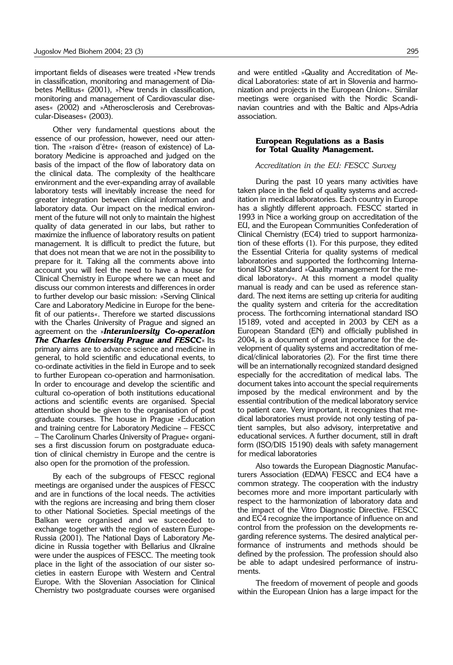important fields of diseases were treated »New trends in classification, monitoring and management of Diabetes Mellitus« (2001), »New trends in classification, monitoring and management of Cardiovascular diseases« (2002) and »Atherosclerosis and Cerebrovascular-Diseases« (2003).

Other very fundamental questions about the essence of our profession, however, need our attention. The »raison d'õtre« (reason of existence) of Laboratory Medicine is approached and judged on the basis of the impact of the flow of laboratory data on the clinical data. The complexity of the healthcare environment and the ever-expanding array of available laboratory tests will inevitably increase the need for greater integration between clinical information and laboratory data. Our impact on the medical environment of the future will not only to maintain the highest quality of data generated in our labs, but rather to maximize the influence of laboratory results on patient management. It is difficult to predict the future, but that does not mean that we are not in the possibility to prepare for it. Taking all the comments above into account you will feel the need to have a house for Clinical Chemistry in Europe where we can meet and discuss our common interests and differences in order to further develop our basic mission: »Serving Clinical Care and Laboratory Medicine in Europe for the benefit of our patients«. Therefore we started discussions with the Charles University of Prague and signed an agreement on the »*Interuniversity Co***-***operation The Charles University Prague and FESCC*« Its primary aims are to advance science and medicine in general, to hold scientific and educational events, to co-ordinate activities in the field in Europe and to seek to further European co-operation and harmonisation. In order to encourage and develop the scientific and cultural co-operation of both institutions educational actions and scientific events are organised. Special attention should be given to the organisation of post graduate courses. The house in Prague »Education and training centre for Laboratory Medicine - FESCC - The Carolinum Charles University of Prague« organises a first discussion forum on postgraduate education of clinical chemistry in Europe and the centre is also open for the promotion of the profession.

By each of the subgroups of FESCC regional meetings are organised under the auspices of FESCC and are in functions of the local needs. The activities with the regions are increasing and bring them closer to other National Societies. Special meetings of the Balkan were organised and we succeeded to exchange together with the region of eastern Europe-Russia (2001). The National Days of Laboratory Medicine in Russia together with Bellarius and Ukraîne were under the auspices of FESCC. The meeting took place in the light of the association of our sister societies in eastern Europe with Western and Central Europe. With the Slovenian Association for Clinical Chemistry two postgraduate courses were organised and were entitled »Quality and Accreditation of Medical Laboratories: state of art in Slovenia and harmonization and projects in the European Union«. Similar meetings were organised with the Nordic Scandinavian countries and with the Baltic and Alps-Adria association.

### **European Regulations as a Basis for Total Quality Management.**

#### *Accreditation in the EU: FESCC Survey*

During the past 10 years many activities have taken place in the field of quality systems and accreditation in medical laboratories. Each country in Europe has a slightly different approach. FESCC started in 1993 in Nice a working group on accreditation of the EU, and the European Communities Confederation of Clinical Chemistry (EC4) tried to support harmonization of these efforts (1). For this purpose, they edited the Essential Criteria for quality systems of medical laboratories and supported the forthcoming International ISO standard »Quality management for the medical laboratory«. At this moment a model quality manual is ready and can be used as reference standard. The next items are setting up criteria for auditing the quality system and criteria for the accreditation process. The forthcoming international standard ISO 15189, voted and accepted in 2003 by CEN as a European Standard (EN) and officially published in 2004, is a document of great importance for the development of quality systems and accreditation of medical/clinical laboratories (2). For the first time there will be an internationally recognized standard designed especially for the accreditation of medical labs. The document takes into account the special requirements imposed by the medical environment and by the essential contribution of the medical laboratory service to patient care. Very important, it recognizes that medical laboratories must provide not only testing of patient samples, but also advisory, interpretative and educational services. A further document, still in draft form (ISO/DIS 15190) deals with safety management for medical laboratories

Also towards the European Diagnostic Manufacturers Association (EDMA) FESCC and EC4 have a common strategy. The cooperation with the industry becomes more and more important particularly with respect to the harmonization of laboratory data and the impact of the Vitro Diagnostic Directive. FESCC and EC4 recognize the importance of influence on and control from the profession on the developments regarding reference systems. The desired analytical performance of instruments and methods should be defined by the profession. The profession should also be able to adapt undesired performance of instruments.

The freedom of movement of people and goods within the European Union has a large impact for the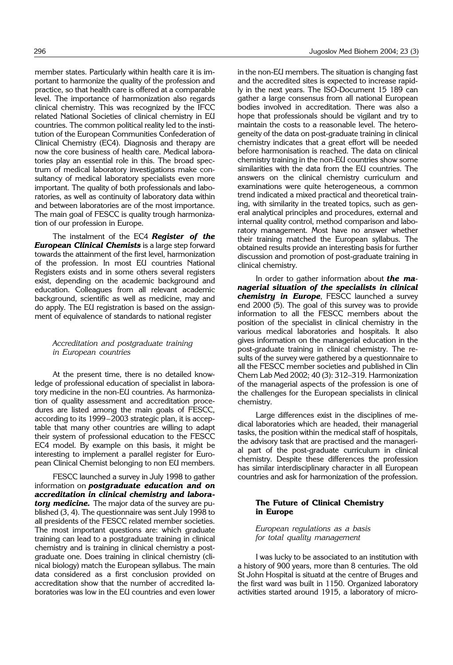member states. Particularly within health care it is important to harmonize the quality of the profession and practice, so that health care is offered at a comparable level. The importance of harmonization also regards clinical chemistry. This was recognized by the IFCC related National Societies of clinical chemistry in EU countries. The common political reality led to the institution of the European Communities Confederation of Clinical Chemistry (EC4). Diagnosis and therapy are now the core business of health care. Medical laboratories play an essential role in this. The broad spectrum of medical laboratory investigations make consultancy of medical laboratory specialists even more important. The quality of both professionals and laboratories, as well as continuity of laboratory data within and between laboratories are of the most importance. The main goal of FESCC is quality trough harmonization of our profession in Europe.

The instalment of the EC4 *Register of the European Clinical Chemists* is a large step forward towards the attainment of the first level, harmonization of the profession. In most EU countries National Registers exists and in some others several registers exist, depending on the academic background and education. Colleagues from all relevant academic background, scientific as well as medicine, may and do apply. The EU registration is based on the assignment of equivalence of standards to national register

# *Accreditation and postgraduate training in European countries*

At the present time, there is no detailed knowledge of professional education of specialist in laboratory medicine in the non-EU countries. As harmonization of quality assessment and accreditation procedures are listed among the main goals of FESCC, according to its 1999-2003 strategic plan, it is acceptable that many other countries are willing to adapt their system of professional education to the FESCC EC4 model. By example on this basis, it might be interesting to implement a parallel register for European Clinical Chemist belonging to non EU members.

FESCC launched a survey in July 1998 to gather information on *postgraduate education and on accreditation in clinical chemistry and labora**tory medicine.* The major data of the survey are published (3, 4). The questionnaire was sent July 1998 to all presidents of the FESCC related member societies. The most important questions are: which graduate training can lead to a postgraduate training in clinical chemistry and is training in clinical chemistry a postgraduate one. Does training in clinical chemistry (clinical biology) match the European syllabus. The main data considered as a first conclusion provided on accreditation show that the number of accredited laboratories was low in the EU countries and even lower

in the non-EU members. The situation is changing fast and the accredited sites is expected to increase rapidly in the next years. The ISO-Document 15 189 can gather a large consensus from all national European bodies involved in accreditation. There was also a hope that professionals should be vigilant and try to maintain the costs to a reasonable level. The heterogeneity of the data on post-graduate training in clinical chemistry indicates that a great effort will be needed before harmonisation is reached. The data on clinical chemistry training in the non-EU countries show some similarities with the data from the EU countries. The answers on the clinical chemistry curriculum and examinations were quite heterogeneous, a common trend indicated a mixed practical and theoretical training, with similarity in the treated topics, such as general analytical principles and procedures, external and internal quality control, method comparison and laboratory management. Most have no answer whether their training matched the European syllabus. The obtained results provide an interesting basis for further discussion and promotion of post-graduate training in clinical chemistry.

In order to gather information about *the managerial situation of the specialists in clinical chemistry in Europe*, FESCC launched a survey end 2000 (5). The goal of this survey was to provide information to all the FESCC members about the position of the specialist in clinical chemistry in the various medical laboratories and hospitals. It also gives information on the managerial education in the post-graduate training in clinical chemistry. The results of the survey were gathered by a questionnaire to all the FESCC member societies and published in Clin Chem Lab Med 2002; 40 (3): 312-319. Harmonization of the managerial aspects of the profession is one of the challenges for the European specialists in clinical chemistry.

Large differences exist in the disciplines of medical laboratories which are headed, their managerial tasks, the position within the medical staff of hospitals, the advisory task that are practised and the managerial part of the post-graduate curriculum in clinical chemistry. Despite these differences the profession has similar interdisciplinary character in all European countries and ask for harmonization of the profession.

# **The Future of Clinical Chemistry in Europe**

### *European regulations as a basis for total quality management*

I was lucky to be associated to an institution with a history of 900 years, more than 8 centuries. The old St John Hospital is situatd at the centre of Bruges and the first ward was built in 1150. Organized laboratory activities started around 1915, a laboratory of micro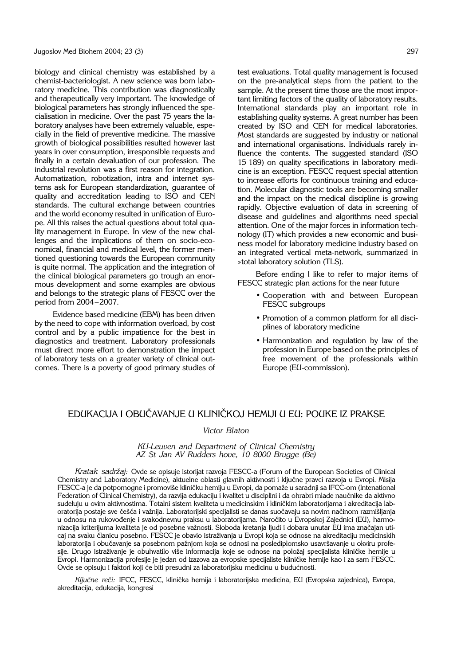biology and clinical chemistry was established by a chemist-bacteriologist. A new science was born laboratory medicine. This contribution was diagnostically and therapeutically very important. The knowledge of biological parameters has strongly influenced the specialisation in medicine. Over the past 75 years the laboratory analyses have been extremely valuable, especially in the field of preventive medicine. The massive growth of biological possibilities resulted however last years in over consumption, irresponsible requests and finally in a certain devaluation of our profession. The industrial revolution was a first reason for integration. Automatization, robotization, intra and internet systems ask for European standardization, guarantee of quality and accreditation leading to ISO and CEN standards. The cultural exchange between countries and the world economy resulted in unification of Europe. All this raises the actual questions about total quality management in Europe. In view of the new challenges and the implications of them on socio-economical, financial and medical level, the former mentioned questioning towards the European community is quite normal. The application and the integration of the clinical biological parameters go trough an enormous development and some examples are obvious and belongs to the strategic plans of FESCC over the period from 2004-2007.

Evidence based medicine (EBM) has been driven by the need to cope with information overload, by cost control and by a public impatience for the best in diagnostics and treatment. Laboratory professionals must direct more effort to demonstration the impact of laboratory tests on a greater variety of clinical outcomes. There is a poverty of good primary studies of test evaluations. Total quality management is focused on the pre-analytical steps from the patient to the sample. At the present time those are the most important limiting factors of the quality of laboratory results. International standards play an important role in establishing quality systems. A great number has been created by ISO and CEN for medical laboratories. Most standards are suggested by industry or national and international organisations. Individuals rarely influence the contents. The suggested standard (ISO 15 189) on quality specifications in laboratory medicine is an exception. FESCC request special attention to increase efforts for continuous training and education. Molecular diagnostic tools are becoming smaller and the impact on the medical discipline is growing rapidly. Objective evaluation of data in screening of disease and guidelines and algorithms need special attention. One of the major forces in information technology (IT) which provides a new economic and business model for laboratory medicine industry based on an integrated vertical meta-network, summarized in »total laboratory solution (TLS).

Before ending I like to refer to major items of FESCC strategic plan actions for the near future

- Cooperation with and between European FESCC subgroups
- Promotion of a common platform for all disciplines of laboratory medicine
- Harmonization and regulation by law of the profession in Europe based on the principles of free movement of the professionals within Europe (EU-commission).

# EDUKACIJA I OBUČAVANJE U KLINIČKOJ HEMIJI U EU: POUKE IZ PRAKSE

# *Victor Blaton*

#### *KU*-*Leuven and Department of Clinical Chemistry AZ St Jan AV Rudders hove, 10 8000 Brugge (Be)*

*Kratak sadr`aj:* Ovde se opisuje istorijat razvoja FESCC-a (Forum of the European Societies of Clinical Chemistry and Laboratory Medicine), aktuelne oblasti glavnih aktivnosti i ključne pravci razvoja u Evropi. Misija FESCC-a je da potpomogne i promoviše kliničku hemiju u Evropi, da pomaže u saradnji sa IFCC-om (Intenational Federation of Clinical Chemistry), da razvija edukaciju i kvalitet u disciplini i da ohrabri mlade naučnike da aktivno sudeluju u ovim aktivnostima. Totalni sistem kvaliteta u medicinskim i kliničkim laboratorijama i akreditacija laboratorija postaje sve češća i važnija. Laboratorijski specijalisti se danas suočavaju sa novim načinom razmišljanja u odnosu na rukovođenje i svakodnevnu praksu u laboratorijama. Naročito u Evropskoj Zajednici (EU), harmonizacija kriterijuma kvaliteta je od posebne važnosti. Sloboda kretanja ljudi i dobara unutar EU ima značajan uticaj na svaku članicu posebno. FESCC je obavio istraživanja u Evropi koja se odnose na akreditaciju medicinskih laboratorija i obučavanje sa posebnom pažnjom koja se odnosi na poslediplomsko usavršavanje u okviru profesije. Drugo istraživanje je obuhvatilo više informacija koje se odnose na položaj specijalista kliničke hemije u Evropi. Harmonizacija profesije je jedan od izazova za evropske specijaliste kliničke hemije kao i za sam FESCC. Ovde se opisuju i faktori koji će biti presudni za laboratorijsku medicinu u budućnosti.

Ključne reči: IFCC, FESCC, klinička hemija i laboratorijska medicina, EU (Evropska zajednica), Evropa, akreditacija, edukacija, kongresi